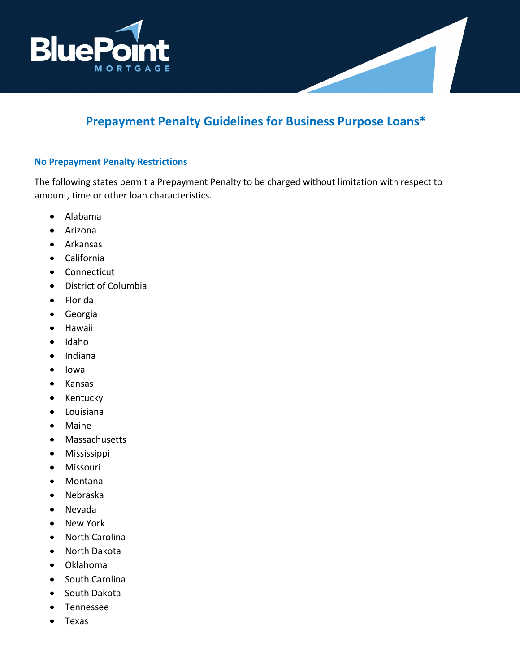

# **Prepayment Penalty Guidelines for Business Purpose Loans\***

# **No Prepayment Penalty Restrictions**

The following states permit a Prepayment Penalty to be charged without limitation with respect to amount, time or other loan characteristics.

- Alabama
- Arizona
- Arkansas
- California
- Connecticut
- District of Columbia
- Florida
- Georgia
- Hawaii
- Idaho
- Indiana
- Iowa
- Kansas
- Kentucky
- Louisiana
- Maine
- Massachusetts
- Mississippi
- Missouri
- Montana
- Nebraska
- Nevada
- New York
- North Carolina
- North Dakota
- Oklahoma
- South Carolina
- South Dakota
- Tennessee
- Texas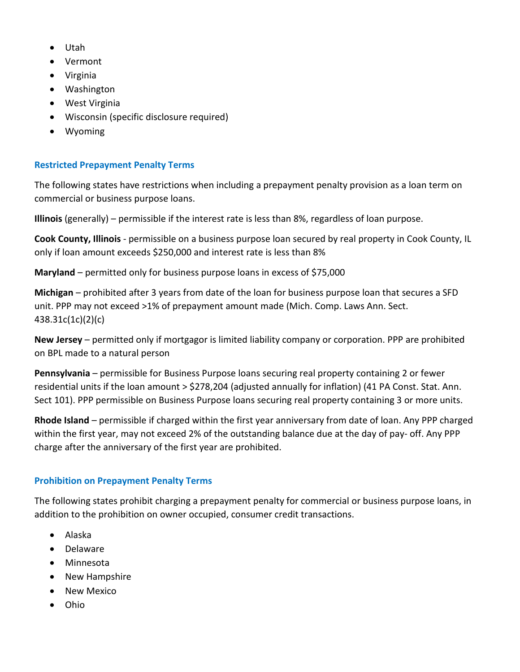- Utah
- Vermont
- Virginia
- Washington
- West Virginia
- Wisconsin (specific disclosure required)
- Wyoming

# **Restricted Prepayment Penalty Terms**

The following states have restrictions when including a prepayment penalty provision as a loan term on commercial or business purpose loans.

**Illinois** (generally) – permissible if the interest rate is less than 8%, regardless of loan purpose.

**Cook County, Illinois** - permissible on a business purpose loan secured by real property in Cook County, IL only if loan amount exceeds \$250,000 and interest rate is less than 8%

**Maryland** – permitted only for business purpose loans in excess of \$75,000

**Michigan** – prohibited after 3 years from date of the loan for business purpose loan that secures a SFD unit. PPP may not exceed >1% of prepayment amount made (Mich. Comp. Laws Ann. Sect. 438.31c(1c)(2)(c)

**New Jersey** – permitted only if mortgagor is limited liability company or corporation. PPP are prohibited on BPL made to a natural person

**Pennsylvania** – permissible for Business Purpose loans securing real property containing 2 or fewer residential units if the loan amount > \$278,204 (adjusted annually for inflation) (41 PA Const. Stat. Ann. Sect 101). PPP permissible on Business Purpose loans securing real property containing 3 or more units.

**Rhode Island** – permissible if charged within the first year anniversary from date of loan. Any PPP charged within the first year, may not exceed 2% of the outstanding balance due at the day of pay- off. Any PPP charge after the anniversary of the first year are prohibited.

# **Prohibition on Prepayment Penalty Terms**

The following states prohibit charging a prepayment penalty for commercial or business purpose loans, in addition to the prohibition on owner occupied, consumer credit transactions.

- Alaska
- Delaware
- Minnesota
- New Hampshire
- New Mexico
- Ohio